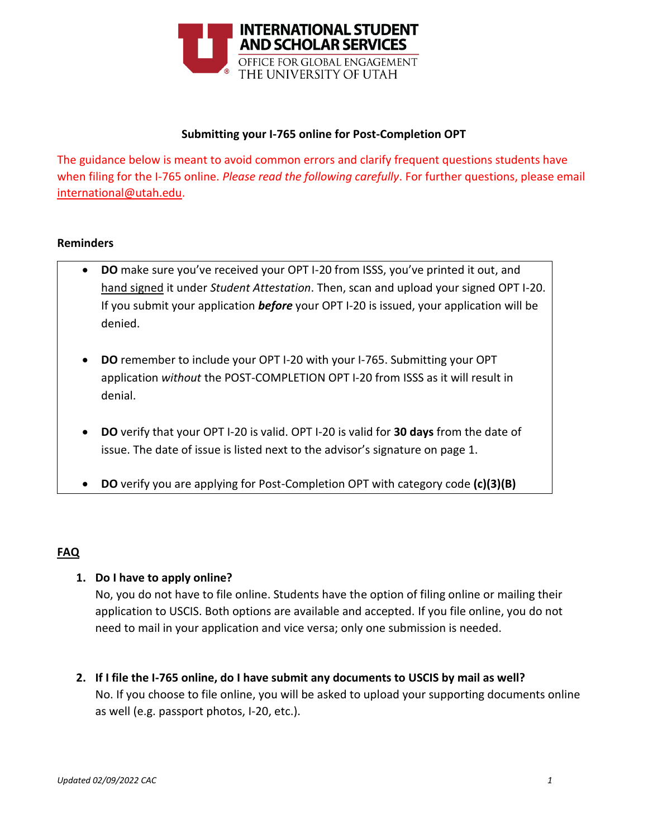

#### **Submitting your I-765 online for Post-Completion OPT**

The guidance below is meant to avoid common errors and clarify frequent questions students have when filing for the I-765 online. *Please read the following carefully*. For further questions, please email [international@utah.edu.](mailto:international@utah.edu)

#### **Reminders**

- **DO** make sure you've received your OPT I-20 from ISSS, you've printed it out, and hand signed it under *Student Attestation*. Then, scan and upload your signed OPT I-20. If you submit your application *before* your OPT I-20 is issued, your application will be denied.
- **DO** remember to include your OPT I-20 with your I-765. Submitting your OPT application *without* the POST-COMPLETION OPT I-20 from ISSS as it will result in denial.
- **DO** verify that your OPT I-20 is valid. OPT I-20 is valid for **30 days** from the date of issue. The date of issue is listed next to the advisor's signature on page 1.
- **DO** verify you are applying for Post-Completion OPT with category code **(c)(3)(B)**

### **FAQ**

### **1. Do I have to apply online?**

No, you do not have to file online. Students have the option of filing online or mailing their application to USCIS. Both options are available and accepted. If you file online, you do not need to mail in your application and vice versa; only one submission is needed.

**2. If I file the I-765 online, do I have submit any documents to USCIS by mail as well?** No. If you choose to file online, you will be asked to upload your supporting documents online as well (e.g. passport photos, I-20, etc.).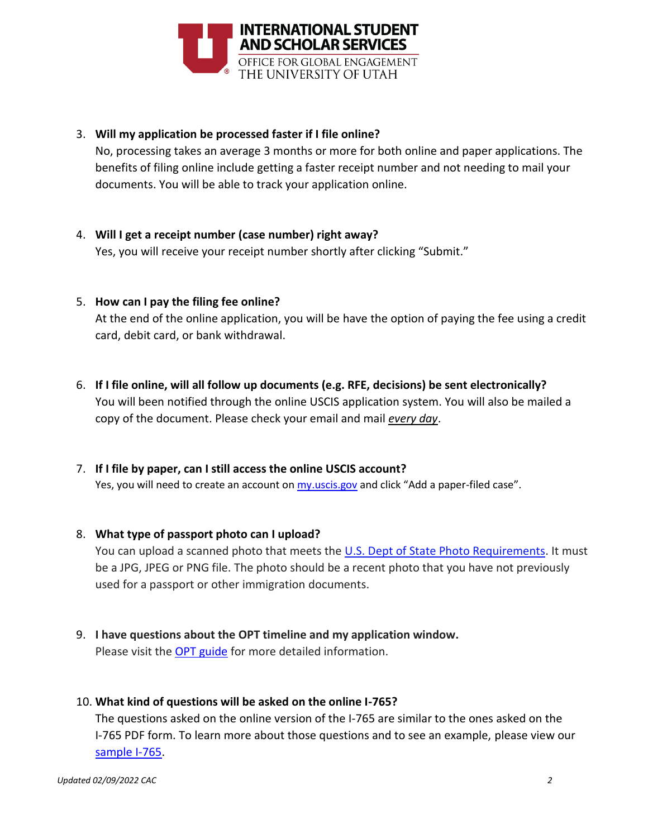

## 3. **Will my application be processed faster if I file online?**

No, processing takes an average 3 months or more for both online and paper applications. The benefits of filing online include getting a faster receipt number and not needing to mail your documents. You will be able to track your application online.

4. **Will I get a receipt number (case number) right away?**

Yes, you will receive your receipt number shortly after clicking "Submit."

5. **How can I pay the filing fee online?**

At the end of the online application, you will be have the option of paying the fee using a credit card, debit card, or bank withdrawal.

- 6. **If I file online, will all follow up documents (e.g. RFE, decisions) be sent electronically?** You will been notified through the online USCIS application system. You will also be mailed a copy of the document. Please check your email and mail *every day*.
- 7. **If I file by paper, can I still access the online USCIS account?**

Yes, you will need to create an account on *my.uscis.gov* and click "Add a paper-filed case".

### 8. **What type of passport photo can I upload?**

You can upload a scanned photo that meets the [U.S. Dept of State Photo Requirements.](https://travel.state.gov/content/travel/en/us-visas/visa-information-resources/photos.html) It must be a JPG, JPEG or PNG file. The photo should be a recent photo that you have not previously used for a passport or other immigration documents.

9. **I have questions about the OPT timeline and my application window.** Please visit the **OPT** guide for more detailed information.

# 10. **What kind of questions will be asked on the online I-765?**

The questions asked on the online version of the I-765 are similar to the ones asked on the I-765 PDF form. To learn more about those questions and to see an example, please view our [sample I-765.](https://isss.utah.edu/forms-publications/documents/f-1-student-opt-i-765-sample.pdf)